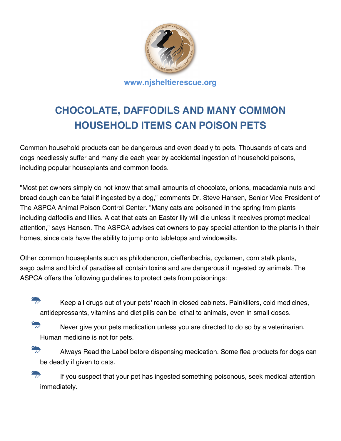

## **CHOCOLATE, DAFFODILS AND MANY COMMON HOUSEHOLD ITEMS CAN POISON PETS**

Common household products can be dangerous and even deadly to pets. Thousands of cats and dogs needlessly suffer and many die each year by accidental ingestion of household poisons, including popular houseplants and common foods.

"Most pet owners simply do not know that small amounts of chocolate, onions, macadamia nuts and bread dough can be fatal if ingested by a dog," comments Dr. Steve Hansen, Senior Vice President of The ASPCA Animal Poison Control Center. "Many cats are poisoned in the spring from plants including daffodils and lilies. A cat that eats an Easter lily will die unless it receives prompt medical attention," says Hansen. The ASPCA advises cat owners to pay special attention to the plants in their homes, since cats have the ability to jump onto tabletops and windowsills.

Other common houseplants such as philodendron, dieffenbachia, cyclamen, corn stalk plants, sago palms and bird of paradise all contain toxins and are dangerous if ingested by animals. The ASPCA offers the following guidelines to protect pets from poisonings:

 $\frac{d\mathbf{r}}{dt}$  Keep all drugs out of your pets' reach in closed cabinets. Painkillers, cold medicines, antidepressants, vitamins and diet pills can be lethal to animals, even in small doses.

Never give your pets medication unless you are directed to do so by a veterinarian. Human medicine is not for pets.

Always Read the Label before dispensing medication. Some flea products for dogs can be deadly if given to cats.

 $\frac{d}{dt}$  If you suspect that your pet has ingested something poisonous, seek medical attention immediately.